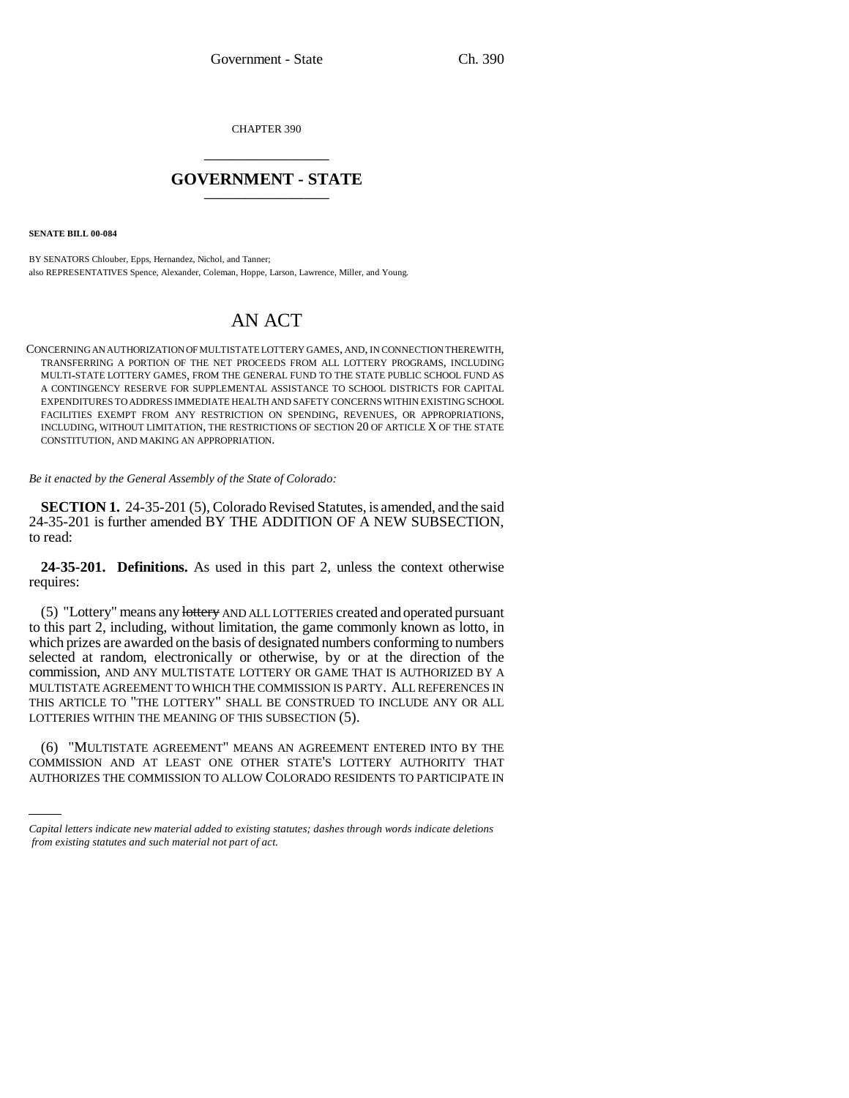CHAPTER 390 \_\_\_\_\_\_\_\_\_\_\_\_\_\_\_

## **GOVERNMENT - STATE** \_\_\_\_\_\_\_\_\_\_\_\_\_\_\_

**SENATE BILL 00-084** 

BY SENATORS Chlouber, Epps, Hernandez, Nichol, and Tanner; also REPRESENTATIVES Spence, Alexander, Coleman, Hoppe, Larson, Lawrence, Miller, and Young.

## AN ACT

CONCERNING AN AUTHORIZATION OF MULTISTATE LOTTERY GAMES, AND, IN CONNECTION THEREWITH, TRANSFERRING A PORTION OF THE NET PROCEEDS FROM ALL LOTTERY PROGRAMS, INCLUDING MULTI-STATE LOTTERY GAMES, FROM THE GENERAL FUND TO THE STATE PUBLIC SCHOOL FUND AS A CONTINGENCY RESERVE FOR SUPPLEMENTAL ASSISTANCE TO SCHOOL DISTRICTS FOR CAPITAL EXPENDITURES TO ADDRESS IMMEDIATE HEALTH AND SAFETY CONCERNS WITHIN EXISTING SCHOOL FACILITIES EXEMPT FROM ANY RESTRICTION ON SPENDING, REVENUES, OR APPROPRIATIONS, INCLUDING, WITHOUT LIMITATION, THE RESTRICTIONS OF SECTION 20 OF ARTICLE X OF THE STATE CONSTITUTION, AND MAKING AN APPROPRIATION.

*Be it enacted by the General Assembly of the State of Colorado:*

**SECTION 1.** 24-35-201 (5), Colorado Revised Statutes, is amended, and the said 24-35-201 is further amended BY THE ADDITION OF A NEW SUBSECTION, to read:

**24-35-201. Definitions.** As used in this part 2, unless the context otherwise requires:

(5) "Lottery" means any lottery AND ALL LOTTERIES created and operated pursuant to this part 2, including, without limitation, the game commonly known as lotto, in which prizes are awarded on the basis of designated numbers conforming to numbers selected at random, electronically or otherwise, by or at the direction of the commission, AND ANY MULTISTATE LOTTERY OR GAME THAT IS AUTHORIZED BY A MULTISTATE AGREEMENT TO WHICH THE COMMISSION IS PARTY. ALL REFERENCES IN THIS ARTICLE TO "THE LOTTERY" SHALL BE CONSTRUED TO INCLUDE ANY OR ALL LOTTERIES WITHIN THE MEANING OF THIS SUBSECTION (5).

(6) "MULTISTATE AGREEMENT" MEANS AN AGREEMENT ENTERED INTO BY THE COMMISSION AND AT LEAST ONE OTHER STATE'S LOTTERY AUTHORITY THAT AUTHORIZES THE COMMISSION TO ALLOW COLORADO RESIDENTS TO PARTICIPATE IN

*Capital letters indicate new material added to existing statutes; dashes through words indicate deletions from existing statutes and such material not part of act.*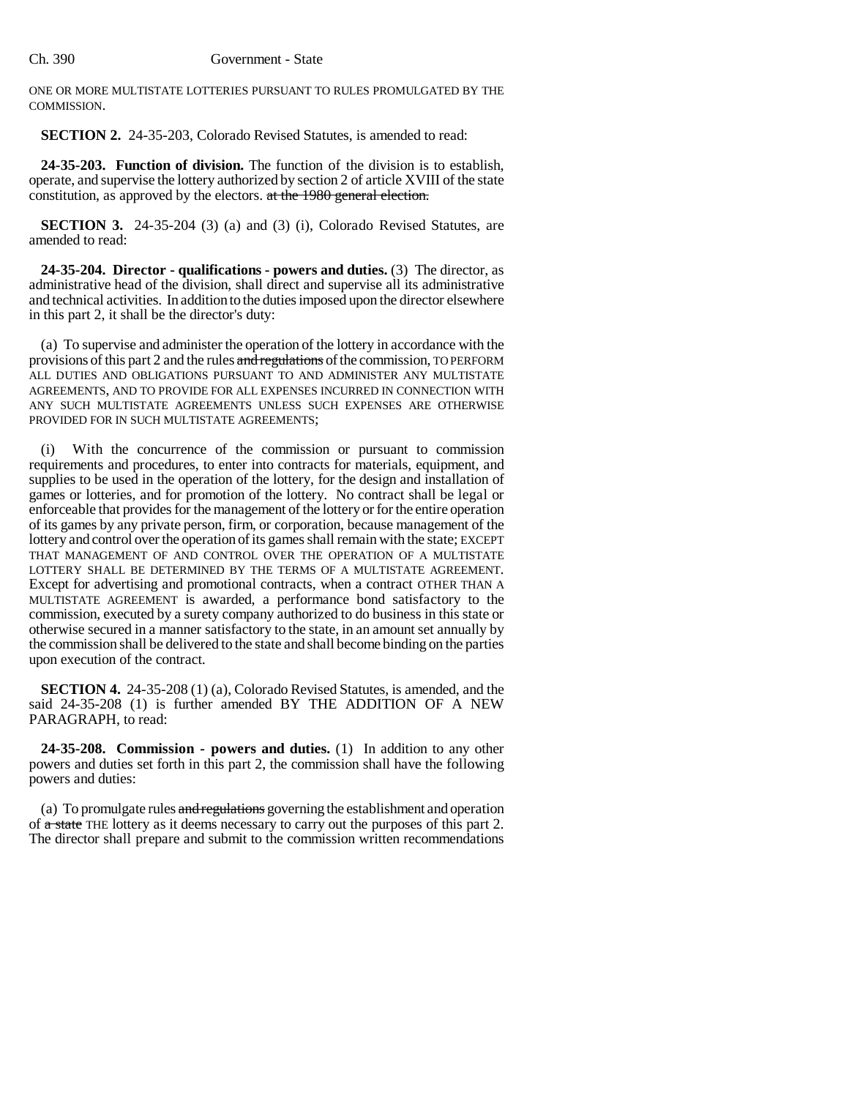ONE OR MORE MULTISTATE LOTTERIES PURSUANT TO RULES PROMULGATED BY THE COMMISSION.

**SECTION 2.** 24-35-203, Colorado Revised Statutes, is amended to read:

**24-35-203. Function of division.** The function of the division is to establish, operate, and supervise the lottery authorized by section 2 of article XVIII of the state constitution, as approved by the electors. at the 1980 general election.

**SECTION 3.** 24-35-204 (3) (a) and (3) (i), Colorado Revised Statutes, are amended to read:

**24-35-204. Director - qualifications - powers and duties.** (3) The director, as administrative head of the division, shall direct and supervise all its administrative and technical activities. In addition to the duties imposed upon the director elsewhere in this part 2, it shall be the director's duty:

(a) To supervise and administer the operation of the lottery in accordance with the provisions of this part 2 and the rules and regulations of the commission, TO PERFORM ALL DUTIES AND OBLIGATIONS PURSUANT TO AND ADMINISTER ANY MULTISTATE AGREEMENTS, AND TO PROVIDE FOR ALL EXPENSES INCURRED IN CONNECTION WITH ANY SUCH MULTISTATE AGREEMENTS UNLESS SUCH EXPENSES ARE OTHERWISE PROVIDED FOR IN SUCH MULTISTATE AGREEMENTS;

With the concurrence of the commission or pursuant to commission requirements and procedures, to enter into contracts for materials, equipment, and supplies to be used in the operation of the lottery, for the design and installation of games or lotteries, and for promotion of the lottery. No contract shall be legal or enforceable that provides for the management of the lottery or for the entire operation of its games by any private person, firm, or corporation, because management of the lottery and control over the operation of its games shall remain with the state; EXCEPT THAT MANAGEMENT OF AND CONTROL OVER THE OPERATION OF A MULTISTATE LOTTERY SHALL BE DETERMINED BY THE TERMS OF A MULTISTATE AGREEMENT. Except for advertising and promotional contracts, when a contract OTHER THAN A MULTISTATE AGREEMENT is awarded, a performance bond satisfactory to the commission, executed by a surety company authorized to do business in this state or otherwise secured in a manner satisfactory to the state, in an amount set annually by the commission shall be delivered to the state and shall become binding on the parties upon execution of the contract.

**SECTION 4.** 24-35-208 (1) (a), Colorado Revised Statutes, is amended, and the said 24-35-208 (1) is further amended BY THE ADDITION OF A NEW PARAGRAPH, to read:

**24-35-208. Commission - powers and duties.** (1) In addition to any other powers and duties set forth in this part 2, the commission shall have the following powers and duties:

(a) To promulgate rules and regulations governing the establishment and operation of a state THE lottery as it deems necessary to carry out the purposes of this part 2. The director shall prepare and submit to the commission written recommendations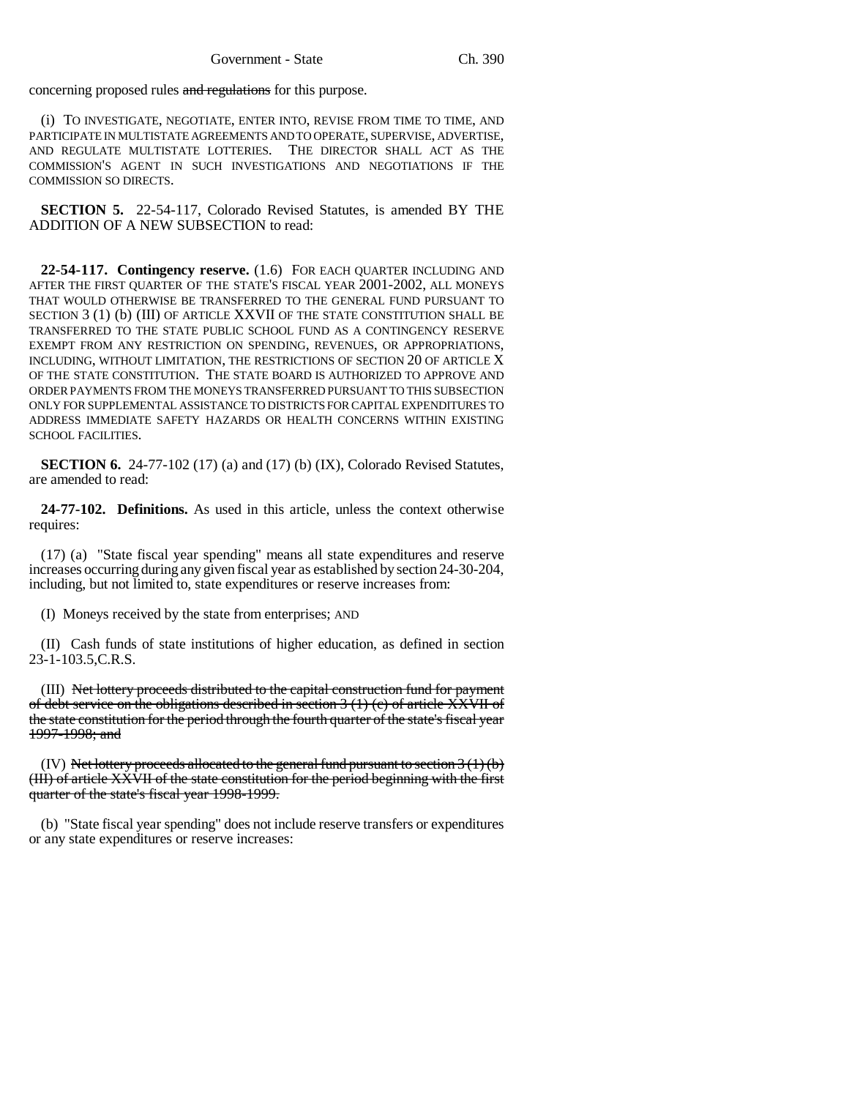concerning proposed rules and regulations for this purpose.

(i) TO INVESTIGATE, NEGOTIATE, ENTER INTO, REVISE FROM TIME TO TIME, AND PARTICIPATE IN MULTISTATE AGREEMENTS AND TO OPERATE, SUPERVISE, ADVERTISE, AND REGULATE MULTISTATE LOTTERIES. THE DIRECTOR SHALL ACT AS THE COMMISSION'S AGENT IN SUCH INVESTIGATIONS AND NEGOTIATIONS IF THE COMMISSION SO DIRECTS.

**SECTION 5.** 22-54-117, Colorado Revised Statutes, is amended BY THE ADDITION OF A NEW SUBSECTION to read:

**22-54-117. Contingency reserve.** (1.6) FOR EACH QUARTER INCLUDING AND AFTER THE FIRST QUARTER OF THE STATE'S FISCAL YEAR 2001-2002, ALL MONEYS THAT WOULD OTHERWISE BE TRANSFERRED TO THE GENERAL FUND PURSUANT TO SECTION 3 (1) (b) (III) OF ARTICLE XXVII OF THE STATE CONSTITUTION SHALL BE TRANSFERRED TO THE STATE PUBLIC SCHOOL FUND AS A CONTINGENCY RESERVE EXEMPT FROM ANY RESTRICTION ON SPENDING, REVENUES, OR APPROPRIATIONS, INCLUDING, WITHOUT LIMITATION, THE RESTRICTIONS OF SECTION 20 OF ARTICLE X OF THE STATE CONSTITUTION. THE STATE BOARD IS AUTHORIZED TO APPROVE AND ORDER PAYMENTS FROM THE MONEYS TRANSFERRED PURSUANT TO THIS SUBSECTION ONLY FOR SUPPLEMENTAL ASSISTANCE TO DISTRICTS FOR CAPITAL EXPENDITURES TO ADDRESS IMMEDIATE SAFETY HAZARDS OR HEALTH CONCERNS WITHIN EXISTING SCHOOL FACILITIES.

**SECTION 6.** 24-77-102 (17) (a) and (17) (b) (IX), Colorado Revised Statutes, are amended to read:

**24-77-102. Definitions.** As used in this article, unless the context otherwise requires:

(17) (a) "State fiscal year spending" means all state expenditures and reserve increases occurring during any given fiscal year as established by section 24-30-204, including, but not limited to, state expenditures or reserve increases from:

(I) Moneys received by the state from enterprises; AND

(II) Cash funds of state institutions of higher education, as defined in section 23-1-103.5,C.R.S.

(III) Net lottery proceeds distributed to the capital construction fund for payment of debt service on the obligations described in section 3 (1) (c) of article XXVII of the state constitution for the period through the fourth quarter of the state's fiscal year 1997-1998; and

(IV) Net lottery proceeds allocated to the general fund pursuant to section  $3(1)(b)$ (III) of article XXVII of the state constitution for the period beginning with the first quarter of the state's fiscal year 1998-1999.

(b) "State fiscal year spending" does not include reserve transfers or expenditures or any state expenditures or reserve increases: